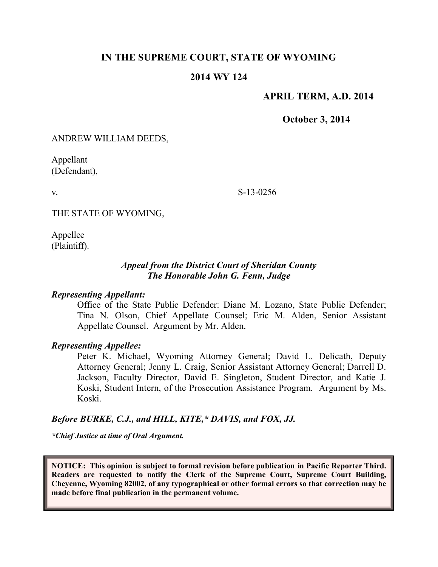## **IN THE SUPREME COURT, STATE OF WYOMING**

#### **2014 WY 124**

### **APRIL TERM, A.D. 2014**

**October 3, 2014**

ANDREW WILLIAM DEEDS,

Appellant (Defendant),

v.

S-13-0256

THE STATE OF WYOMING,

Appellee (Plaintiff).

### *Appeal from the District Court of Sheridan County The Honorable John G. Fenn, Judge*

#### *Representing Appellant:*

Office of the State Public Defender: Diane M. Lozano, State Public Defender; Tina N. Olson, Chief Appellate Counsel; Eric M. Alden, Senior Assistant Appellate Counsel. Argument by Mr. Alden.

#### *Representing Appellee:*

Peter K. Michael, Wyoming Attorney General; David L. Delicath, Deputy Attorney General; Jenny L. Craig, Senior Assistant Attorney General; Darrell D. Jackson, Faculty Director, David E. Singleton, Student Director, and Katie J. Koski, Student Intern, of the Prosecution Assistance Program. Argument by Ms. Koski.

#### *Before BURKE, C.J., and HILL, KITE,\* DAVIS, and FOX, JJ.*

*\*Chief Justice at time of Oral Argument.*

**NOTICE: This opinion is subject to formal revision before publication in Pacific Reporter Third. Readers are requested to notify the Clerk of the Supreme Court, Supreme Court Building, Cheyenne, Wyoming 82002, of any typographical or other formal errors so that correction may be made before final publication in the permanent volume.**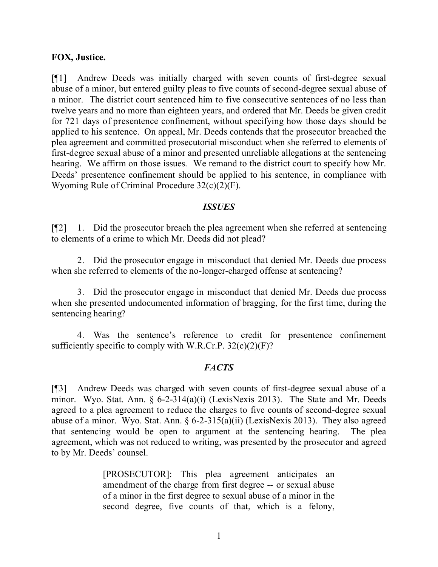### **FOX, Justice.**

[¶1] Andrew Deeds was initially charged with seven counts of first-degree sexual abuse of a minor, but entered guilty pleas to five counts of second-degree sexual abuse of a minor. The district court sentenced him to five consecutive sentences of no less than twelve years and no more than eighteen years, and ordered that Mr. Deeds be given credit for 721 days of presentence confinement, without specifying how those days should be applied to his sentence. On appeal, Mr. Deeds contends that the prosecutor breached the plea agreement and committed prosecutorial misconduct when she referred to elements of first-degree sexual abuse of a minor and presented unreliable allegations at the sentencing hearing. We affirm on those issues. We remand to the district court to specify how Mr. Deeds' presentence confinement should be applied to his sentence, in compliance with Wyoming Rule of Criminal Procedure 32(c)(2)(F).

#### *ISSUES*

[¶2] 1. Did the prosecutor breach the plea agreement when she referred at sentencing to elements of a crime to which Mr. Deeds did not plead?

2. Did the prosecutor engage in misconduct that denied Mr. Deeds due process when she referred to elements of the no-longer-charged offense at sentencing?

3. Did the prosecutor engage in misconduct that denied Mr. Deeds due process when she presented undocumented information of bragging, for the first time, during the sentencing hearing?

4. Was the sentence's reference to credit for presentence confinement sufficiently specific to comply with W.R.Cr.P.  $32(c)(2)(F)$ ?

## *FACTS*

[¶3] Andrew Deeds was charged with seven counts of first-degree sexual abuse of a minor. Wyo. Stat. Ann. § 6-2-314(a)(i) (LexisNexis 2013). The State and Mr. Deeds agreed to a plea agreement to reduce the charges to five counts of second-degree sexual abuse of a minor. Wyo. Stat. Ann.  $\S 6$ -2-315(a)(ii) (LexisNexis 2013). They also agreed that sentencing would be open to argument at the sentencing hearing. The plea agreement, which was not reduced to writing, was presented by the prosecutor and agreed to by Mr. Deeds' counsel.

> [PROSECUTOR]: This plea agreement anticipates an amendment of the charge from first degree -- or sexual abuse of a minor in the first degree to sexual abuse of a minor in the second degree, five counts of that, which is a felony,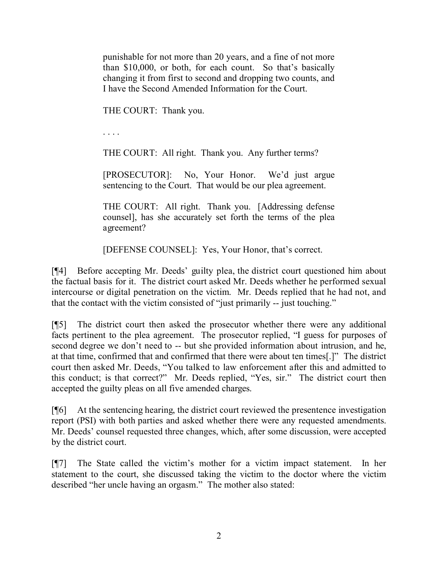punishable for not more than 20 years, and a fine of not more than \$10,000, or both, for each count. So that's basically changing it from first to second and dropping two counts, and I have the Second Amended Information for the Court.

THE COURT: Thank you.

. . . .

THE COURT: All right. Thank you. Any further terms?

[PROSECUTOR]: No, Your Honor. We'd just argue sentencing to the Court. That would be our plea agreement.

THE COURT: All right. Thank you. [Addressing defense counsel], has she accurately set forth the terms of the plea agreement?

[DEFENSE COUNSEL]: Yes, Your Honor, that's correct.

[¶4] Before accepting Mr. Deeds' guilty plea, the district court questioned him about the factual basis for it. The district court asked Mr. Deeds whether he performed sexual intercourse or digital penetration on the victim. Mr. Deeds replied that he had not, and that the contact with the victim consisted of "just primarily -- just touching."

[¶5] The district court then asked the prosecutor whether there were any additional facts pertinent to the plea agreement. The prosecutor replied, "I guess for purposes of second degree we don't need to -- but she provided information about intrusion, and he, at that time, confirmed that and confirmed that there were about ten times[.]" The district court then asked Mr. Deeds, "You talked to law enforcement after this and admitted to this conduct; is that correct?" Mr. Deeds replied, "Yes, sir." The district court then accepted the guilty pleas on all five amended charges.

[¶6] At the sentencing hearing, the district court reviewed the presentence investigation report (PSI) with both parties and asked whether there were any requested amendments. Mr. Deeds' counsel requested three changes, which, after some discussion, were accepted by the district court.

[¶7] The State called the victim's mother for a victim impact statement. In her statement to the court, she discussed taking the victim to the doctor where the victim described "her uncle having an orgasm." The mother also stated: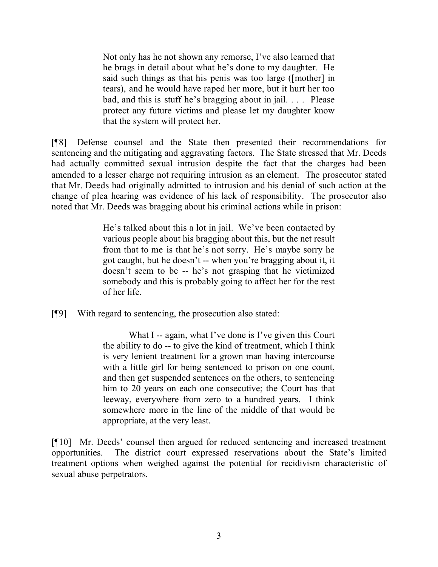Not only has he not shown any remorse, I've also learned that he brags in detail about what he's done to my daughter. He said such things as that his penis was too large ([mother] in tears), and he would have raped her more, but it hurt her too bad, and this is stuff he's bragging about in jail. . . . Please protect any future victims and please let my daughter know that the system will protect her.

[¶8] Defense counsel and the State then presented their recommendations for sentencing and the mitigating and aggravating factors. The State stressed that Mr. Deeds had actually committed sexual intrusion despite the fact that the charges had been amended to a lesser charge not requiring intrusion as an element. The prosecutor stated that Mr. Deeds had originally admitted to intrusion and his denial of such action at the change of plea hearing was evidence of his lack of responsibility. The prosecutor also noted that Mr. Deeds was bragging about his criminal actions while in prison:

> He's talked about this a lot in jail. We've been contacted by various people about his bragging about this, but the net result from that to me is that he's not sorry. He's maybe sorry he got caught, but he doesn't -- when you're bragging about it, it doesn't seem to be -- he's not grasping that he victimized somebody and this is probably going to affect her for the rest of her life.

[¶9] With regard to sentencing, the prosecution also stated:

What I -- again, what I've done is I've given this Court the ability to do -- to give the kind of treatment, which I think is very lenient treatment for a grown man having intercourse with a little girl for being sentenced to prison on one count, and then get suspended sentences on the others, to sentencing him to 20 years on each one consecutive; the Court has that leeway, everywhere from zero to a hundred years. I think somewhere more in the line of the middle of that would be appropriate, at the very least.

[¶10] Mr. Deeds' counsel then argued for reduced sentencing and increased treatment opportunities. The district court expressed reservations about the State's limited treatment options when weighed against the potential for recidivism characteristic of sexual abuse perpetrators.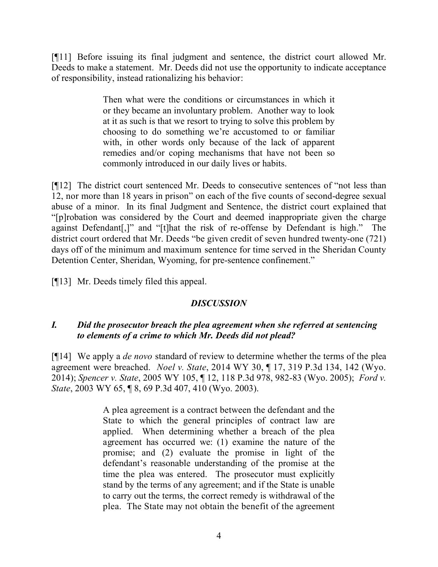[¶11] Before issuing its final judgment and sentence, the district court allowed Mr. Deeds to make a statement. Mr. Deeds did not use the opportunity to indicate acceptance of responsibility, instead rationalizing his behavior:

> Then what were the conditions or circumstances in which it or they became an involuntary problem. Another way to look at it as such is that we resort to trying to solve this problem by choosing to do something we're accustomed to or familiar with, in other words only because of the lack of apparent remedies and/or coping mechanisms that have not been so commonly introduced in our daily lives or habits.

[¶12] The district court sentenced Mr. Deeds to consecutive sentences of "not less than 12, nor more than 18 years in prison" on each of the five counts of second-degree sexual abuse of a minor. In its final Judgment and Sentence, the district court explained that "[p]robation was considered by the Court and deemed inappropriate given the charge against Defendant[,]" and "[t]hat the risk of re-offense by Defendant is high." The district court ordered that Mr. Deeds "be given credit of seven hundred twenty-one (721) days off of the minimum and maximum sentence for time served in the Sheridan County Detention Center, Sheridan, Wyoming, for pre-sentence confinement."

[¶13] Mr. Deeds timely filed this appeal.

## *DISCUSSION*

## *I. Did the prosecutor breach the plea agreement when she referred at sentencing to elements of a crime to which Mr. Deeds did not plead?*

[¶14] We apply a *de novo* standard of review to determine whether the terms of the plea agreement were breached. *Noel v. State*, 2014 WY 30, ¶ 17, 319 P.3d 134, 142 (Wyo. 2014); *Spencer v. State*, 2005 WY 105, ¶ 12, 118 P.3d 978, 982-83 (Wyo. 2005); *Ford v. State*, 2003 WY 65, ¶ 8, 69 P.3d 407, 410 (Wyo. 2003).

> A plea agreement is a contract between the defendant and the State to which the general principles of contract law are applied. When determining whether a breach of the plea agreement has occurred we: (1) examine the nature of the promise; and (2) evaluate the promise in light of the defendant's reasonable understanding of the promise at the time the plea was entered. The prosecutor must explicitly stand by the terms of any agreement; and if the State is unable to carry out the terms, the correct remedy is withdrawal of the plea. The State may not obtain the benefit of the agreement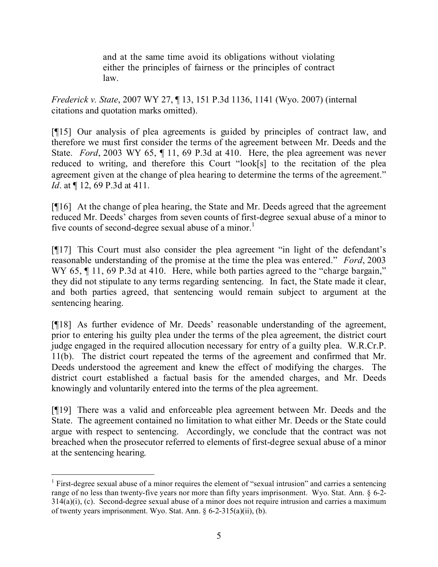and at the same time avoid its obligations without violating either the principles of fairness or the principles of contract law.

*Frederick v. State*, 2007 WY 27, ¶ 13, 151 P.3d 1136, 1141 (Wyo. 2007) (internal citations and quotation marks omitted).

[¶15] Our analysis of plea agreements is guided by principles of contract law, and therefore we must first consider the terms of the agreement between Mr. Deeds and the State. *Ford*, 2003 WY 65, ¶ 11, 69 P.3d at 410. Here, the plea agreement was never reduced to writing, and therefore this Court "look[s] to the recitation of the plea agreement given at the change of plea hearing to determine the terms of the agreement." *Id.* at  $\P$  12, 69 P.3d at 411.

[¶16] At the change of plea hearing, the State and Mr. Deeds agreed that the agreement reduced Mr. Deeds' charges from seven counts of first-degree sexual abuse of a minor to five counts of second-degree sexual abuse of a minor.<sup>1</sup>

[¶17] This Court must also consider the plea agreement "in light of the defendant's reasonable understanding of the promise at the time the plea was entered." *Ford*, 2003 WY 65,  $\P$  11, 69 P.3d at 410. Here, while both parties agreed to the "charge bargain," they did not stipulate to any terms regarding sentencing. In fact, the State made it clear, and both parties agreed, that sentencing would remain subject to argument at the sentencing hearing.

[¶18] As further evidence of Mr. Deeds' reasonable understanding of the agreement, prior to entering his guilty plea under the terms of the plea agreement, the district court judge engaged in the required allocution necessary for entry of a guilty plea. W.R.Cr.P. 11(b). The district court repeated the terms of the agreement and confirmed that Mr. Deeds understood the agreement and knew the effect of modifying the charges. The district court established a factual basis for the amended charges, and Mr. Deeds knowingly and voluntarily entered into the terms of the plea agreement.

[¶19] There was a valid and enforceable plea agreement between Mr. Deeds and the State. The agreement contained no limitation to what either Mr. Deeds or the State could argue with respect to sentencing. Accordingly, we conclude that the contract was not breached when the prosecutor referred to elements of first-degree sexual abuse of a minor at the sentencing hearing.

<sup>&</sup>lt;sup>1</sup> First-degree sexual abuse of a minor requires the element of "sexual intrusion" and carries a sentencing range of no less than twenty-five years nor more than fifty years imprisonment. Wyo. Stat. Ann. § 6-2-  $314(a)(i)$ , (c). Second-degree sexual abuse of a minor does not require intrusion and carries a maximum of twenty years imprisonment. Wyo. Stat. Ann. § 6-2-315(a)(ii), (b).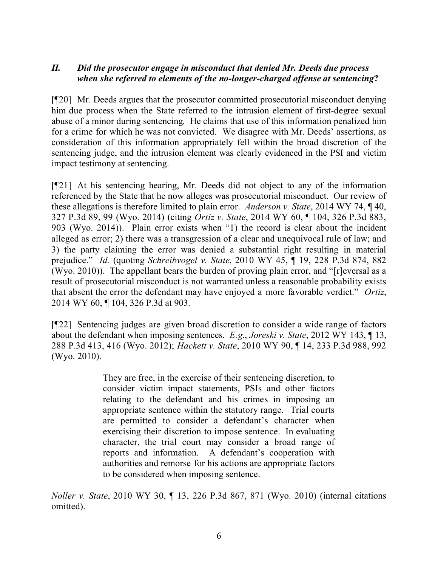## *II. Did the prosecutor engage in misconduct that denied Mr. Deeds due process when she referred to elements of the no-longer-charged offense at sentencing***?**

[¶20] Mr. Deeds argues that the prosecutor committed prosecutorial misconduct denying him due process when the State referred to the intrusion element of first-degree sexual abuse of a minor during sentencing. He claims that use of this information penalized him for a crime for which he was not convicted. We disagree with Mr. Deeds' assertions, as consideration of this information appropriately fell within the broad discretion of the sentencing judge, and the intrusion element was clearly evidenced in the PSI and victim impact testimony at sentencing.

[¶21] At his sentencing hearing, Mr. Deeds did not object to any of the information referenced by the State that he now alleges was prosecutorial misconduct. Our review of these allegations is therefore limited to plain error. *Anderson v. State*, 2014 WY 74, ¶ 40, 327 P.3d 89, 99 (Wyo. 2014) (citing *Ortiz v. State*, 2014 WY 60, ¶ 104, 326 P.3d 883, 903 (Wyo. 2014)). Plain error exists when "1) the record is clear about the incident alleged as error; 2) there was a transgression of a clear and unequivocal rule of law; and 3) the party claiming the error was denied a substantial right resulting in material prejudice." *Id.* (quoting *Schreibvogel v. State*, 2010 WY 45, ¶ 19, 228 P.3d 874, 882 (Wyo. 2010)). The appellant bears the burden of proving plain error, and "[r]eversal as a result of prosecutorial misconduct is not warranted unless a reasonable probability exists that absent the error the defendant may have enjoyed a more favorable verdict." *Ortiz*, 2014 WY 60, ¶ 104, 326 P.3d at 903.

[¶22] Sentencing judges are given broad discretion to consider a wide range of factors about the defendant when imposing sentences. *E.g*., *Joreski v. State*, 2012 WY 143, ¶ 13, 288 P.3d 413, 416 (Wyo. 2012); *Hackett v. State*, 2010 WY 90, ¶ 14, 233 P.3d 988, 992 (Wyo. 2010).

> They are free, in the exercise of their sentencing discretion, to consider victim impact statements, PSIs and other factors relating to the defendant and his crimes in imposing an appropriate sentence within the statutory range. Trial courts are permitted to consider a defendant's character when exercising their discretion to impose sentence. In evaluating character, the trial court may consider a broad range of reports and information. A defendant's cooperation with authorities and remorse for his actions are appropriate factors to be considered when imposing sentence.

*Noller v. State*, 2010 WY 30, ¶ 13, 226 P.3d 867, 871 (Wyo. 2010) (internal citations omitted).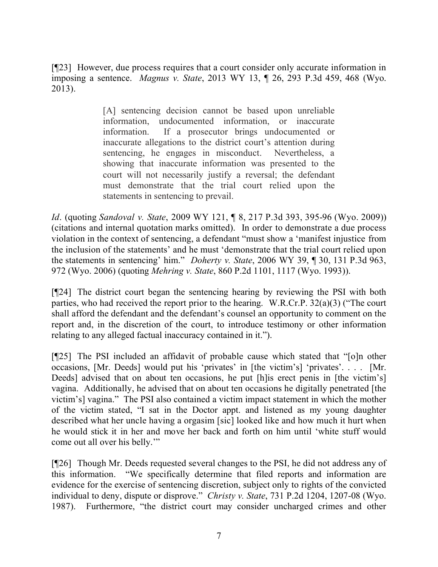[¶23] However, due process requires that a court consider only accurate information in imposing a sentence. *Magnus v. State*, 2013 WY 13, ¶ 26, 293 P.3d 459, 468 (Wyo. 2013).

> [A] sentencing decision cannot be based upon unreliable information, undocumented information, or inaccurate information. If a prosecutor brings undocumented or inaccurate allegations to the district court's attention during sentencing, he engages in misconduct. Nevertheless, a showing that inaccurate information was presented to the court will not necessarily justify a reversal; the defendant must demonstrate that the trial court relied upon the statements in sentencing to prevail.

*Id*. (quoting *Sandoval v. State*, 2009 WY 121, ¶ 8, 217 P.3d 393, 395-96 (Wyo. 2009)) (citations and internal quotation marks omitted). In order to demonstrate a due process violation in the context of sentencing, a defendant "must show a 'manifest injustice from the inclusion of the statements' and he must 'demonstrate that the trial court relied upon the statements in sentencing' him." *Doherty v. State*, 2006 WY 39, ¶ 30, 131 P.3d 963, 972 (Wyo. 2006) (quoting *Mehring v. State*, 860 P.2d 1101, 1117 (Wyo. 1993)).

[¶24] The district court began the sentencing hearing by reviewing the PSI with both parties, who had received the report prior to the hearing. W.R.Cr.P. 32(a)(3) ("The court shall afford the defendant and the defendant's counsel an opportunity to comment on the report and, in the discretion of the court, to introduce testimony or other information relating to any alleged factual inaccuracy contained in it.").

[¶25] The PSI included an affidavit of probable cause which stated that "[o]n other occasions, [Mr. Deeds] would put his 'privates' in [the victim's] 'privates'. . . . [Mr. Deeds] advised that on about ten occasions, he put [h]is erect penis in [the victim's] vagina. Additionally, he advised that on about ten occasions he digitally penetrated [the victim's] vagina." The PSI also contained a victim impact statement in which the mother of the victim stated, "I sat in the Doctor appt. and listened as my young daughter described what her uncle having a orgasim [sic] looked like and how much it hurt when he would stick it in her and move her back and forth on him until 'white stuff would come out all over his belly.'"

[¶26] Though Mr. Deeds requested several changes to the PSI, he did not address any of this information. "We specifically determine that filed reports and information are evidence for the exercise of sentencing discretion, subject only to rights of the convicted individual to deny, dispute or disprove." *Christy v. State*, 731 P.2d 1204, 1207-08 (Wyo. 1987). Furthermore, "the district court may consider uncharged crimes and other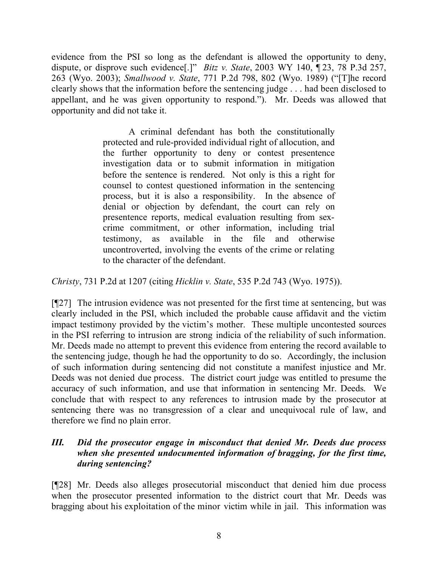evidence from the PSI so long as the defendant is allowed the opportunity to deny, dispute, or disprove such evidence[.]" *Bitz v. State*, 2003 WY 140, ¶ 23, 78 P.3d 257, 263 (Wyo. 2003); *Smallwood v. State*, 771 P.2d 798, 802 (Wyo. 1989) ("[T]he record clearly shows that the information before the sentencing judge . . . had been disclosed to appellant, and he was given opportunity to respond."). Mr. Deeds was allowed that opportunity and did not take it.

> A criminal defendant has both the constitutionally protected and rule-provided individual right of allocution, and the further opportunity to deny or contest presentence investigation data or to submit information in mitigation before the sentence is rendered. Not only is this a right for counsel to contest questioned information in the sentencing process, but it is also a responsibility. In the absence of denial or objection by defendant, the court can rely on presentence reports, medical evaluation resulting from sexcrime commitment, or other information, including trial testimony, as available in the file and otherwise uncontroverted, involving the events of the crime or relating to the character of the defendant.

*Christy*, 731 P.2d at 1207 (citing *Hicklin v. State*, 535 P.2d 743 (Wyo. 1975)).

[¶27] The intrusion evidence was not presented for the first time at sentencing, but was clearly included in the PSI, which included the probable cause affidavit and the victim impact testimony provided by the victim's mother. These multiple uncontested sources in the PSI referring to intrusion are strong indicia of the reliability of such information. Mr. Deeds made no attempt to prevent this evidence from entering the record available to the sentencing judge, though he had the opportunity to do so. Accordingly, the inclusion of such information during sentencing did not constitute a manifest injustice and Mr. Deeds was not denied due process. The district court judge was entitled to presume the accuracy of such information, and use that information in sentencing Mr. Deeds. We conclude that with respect to any references to intrusion made by the prosecutor at sentencing there was no transgression of a clear and unequivocal rule of law, and therefore we find no plain error.

## *III. Did the prosecutor engage in misconduct that denied Mr. Deeds due process when she presented undocumented information of bragging, for the first time, during sentencing?*

[¶28] Mr. Deeds also alleges prosecutorial misconduct that denied him due process when the prosecutor presented information to the district court that Mr. Deeds was bragging about his exploitation of the minor victim while in jail. This information was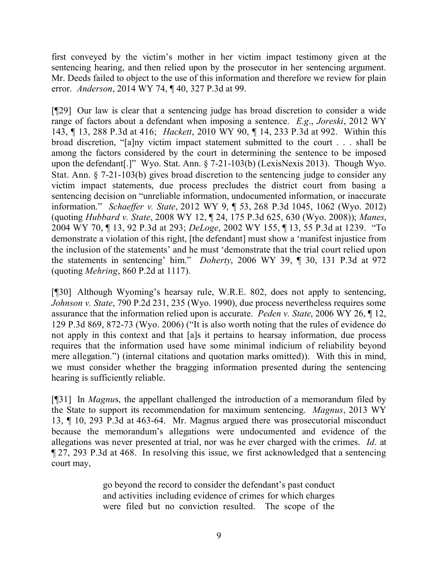first conveyed by the victim's mother in her victim impact testimony given at the sentencing hearing, and then relied upon by the prosecutor in her sentencing argument. Mr. Deeds failed to object to the use of this information and therefore we review for plain error. *Anderson*, 2014 WY 74, ¶ 40, 327 P.3d at 99.

[¶29] Our law is clear that a sentencing judge has broad discretion to consider a wide range of factors about a defendant when imposing a sentence. *E.g*., *Joreski*, 2012 WY 143, ¶ 13, 288 P.3d at 416; *Hackett*, 2010 WY 90, ¶ 14, 233 P.3d at 992. Within this broad discretion, "[a]ny victim impact statement submitted to the court . . . shall be among the factors considered by the court in determining the sentence to be imposed upon the defendant[.]" Wyo. Stat. Ann. § 7-21-103(b) (LexisNexis 2013). Though Wyo. Stat. Ann. § 7-21-103(b) gives broad discretion to the sentencing judge to consider any victim impact statements, due process precludes the district court from basing a sentencing decision on "unreliable information, undocumented information, or inaccurate information." *Schaeffer v. State*, 2012 WY 9, ¶ 53, 268 P.3d 1045, 1062 (Wyo. 2012) (quoting *Hubbard v. State*, 2008 WY 12, ¶ 24, 175 P.3d 625, 630 (Wyo. 2008)); *Manes*, 2004 WY 70, ¶ 13, 92 P.3d at 293; *DeLoge*, 2002 WY 155, ¶ 13, 55 P.3d at 1239. "To demonstrate a violation of this right, [the defendant] must show a 'manifest injustice from the inclusion of the statements' and he must 'demonstrate that the trial court relied upon the statements in sentencing' him." *Doherty*, 2006 WY 39, ¶ 30, 131 P.3d at 972 (quoting *Mehring*, 860 P.2d at 1117).

[¶30] Although Wyoming's hearsay rule, W.R.E. 802, does not apply to sentencing, *Johnson v. State*, 790 P.2d 231, 235 (Wyo. 1990), due process nevertheless requires some assurance that the information relied upon is accurate. *Peden v. State*, 2006 WY 26, ¶ 12, 129 P.3d 869, 872-73 (Wyo. 2006) ("It is also worth noting that the rules of evidence do not apply in this context and that [a]s it pertains to hearsay information, due process requires that the information used have some minimal indicium of reliability beyond mere allegation.") (internal citations and quotation marks omitted)). With this in mind, we must consider whether the bragging information presented during the sentencing hearing is sufficiently reliable.

[¶31] In *Magnu*s, the appellant challenged the introduction of a memorandum filed by the State to support its recommendation for maximum sentencing. *Magnus*, 2013 WY 13, ¶ 10, 293 P.3d at 463-64. Mr. Magnus argued there was prosecutorial misconduct because the memorandum's allegations were undocumented and evidence of the allegations was never presented at trial, nor was he ever charged with the crimes. *Id*. at ¶ 27, 293 P.3d at 468. In resolving this issue, we first acknowledged that a sentencing court may,

> go beyond the record to consider the defendant's past conduct and activities including evidence of crimes for which charges were filed but no conviction resulted. The scope of the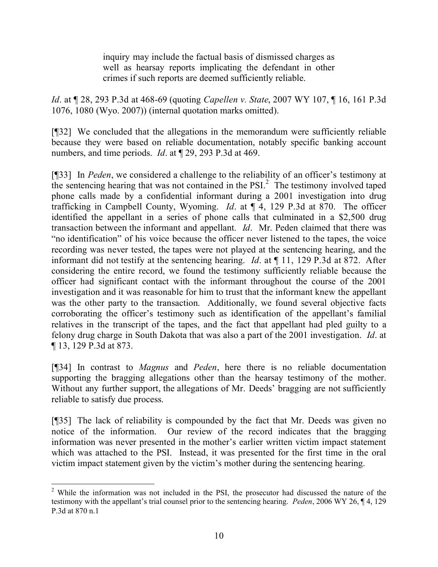inquiry may include the factual basis of dismissed charges as well as hearsay reports implicating the defendant in other crimes if such reports are deemed sufficiently reliable.

*Id*. at ¶ 28, 293 P.3d at 468-69 (quoting *Capellen v. State*, 2007 WY 107, ¶ 16, 161 P.3d 1076, 1080 (Wyo. 2007)) (internal quotation marks omitted).

[¶32] We concluded that the allegations in the memorandum were sufficiently reliable because they were based on reliable documentation, notably specific banking account numbers, and time periods. *Id*. at ¶ 29, 293 P.3d at 469.

[¶33] In *Peden*, we considered a challenge to the reliability of an officer's testimony at the sentencing hearing that was not contained in the PSI.<sup>2</sup> The testimony involved taped phone calls made by a confidential informant during a 2001 investigation into drug trafficking in Campbell County, Wyoming. *Id*. at ¶ 4, 129 P.3d at 870. The officer identified the appellant in a series of phone calls that culminated in a \$2,500 drug transaction between the informant and appellant. *Id*. Mr. Peden claimed that there was "no identification" of his voice because the officer never listened to the tapes, the voice recording was never tested, the tapes were not played at the sentencing hearing, and the informant did not testify at the sentencing hearing. *Id*. at ¶ 11, 129 P.3d at 872. After considering the entire record, we found the testimony sufficiently reliable because the officer had significant contact with the informant throughout the course of the 2001 investigation and it was reasonable for him to trust that the informant knew the appellant was the other party to the transaction. Additionally, we found several objective facts corroborating the officer's testimony such as identification of the appellant's familial relatives in the transcript of the tapes, and the fact that appellant had pled guilty to a felony drug charge in South Dakota that was also a part of the 2001 investigation. *Id*. at ¶ 13, 129 P.3d at 873.

[¶34] In contrast to *Magnus* and *Peden*, here there is no reliable documentation supporting the bragging allegations other than the hearsay testimony of the mother. Without any further support, the allegations of Mr. Deeds' bragging are not sufficiently reliable to satisfy due process.

[¶35] The lack of reliability is compounded by the fact that Mr. Deeds was given no notice of the information. Our review of the record indicates that the bragging information was never presented in the mother's earlier written victim impact statement which was attached to the PSI. Instead, it was presented for the first time in the oral victim impact statement given by the victim's mother during the sentencing hearing.

 <sup>2</sup> While the information was not included in the PSI, the prosecutor had discussed the nature of the testimony with the appellant's trial counsel prior to the sentencing hearing. *Peden*, 2006 WY 26, ¶ 4, 129 P.3d at 870 n.1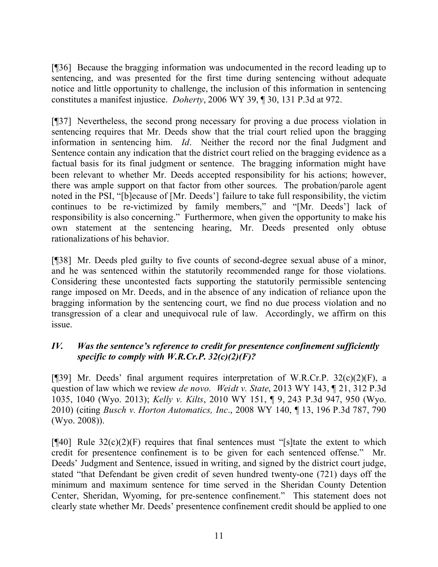[¶36] Because the bragging information was undocumented in the record leading up to sentencing, and was presented for the first time during sentencing without adequate notice and little opportunity to challenge, the inclusion of this information in sentencing constitutes a manifest injustice. *Doherty*, 2006 WY 39, ¶ 30, 131 P.3d at 972.

[¶37] Nevertheless, the second prong necessary for proving a due process violation in sentencing requires that Mr. Deeds show that the trial court relied upon the bragging information in sentencing him. *Id*. Neither the record nor the final Judgment and Sentence contain any indication that the district court relied on the bragging evidence as a factual basis for its final judgment or sentence. The bragging information might have been relevant to whether Mr. Deeds accepted responsibility for his actions; however, there was ample support on that factor from other sources. The probation/parole agent noted in the PSI, "[b]ecause of [Mr. Deeds'] failure to take full responsibility, the victim continues to be re-victimized by family members," and "[Mr. Deeds'] lack of responsibility is also concerning." Furthermore, when given the opportunity to make his own statement at the sentencing hearing, Mr. Deeds presented only obtuse rationalizations of his behavior.

[¶38] Mr. Deeds pled guilty to five counts of second-degree sexual abuse of a minor, and he was sentenced within the statutorily recommended range for those violations. Considering these uncontested facts supporting the statutorily permissible sentencing range imposed on Mr. Deeds, and in the absence of any indication of reliance upon the bragging information by the sentencing court, we find no due process violation and no transgression of a clear and unequivocal rule of law. Accordingly, we affirm on this issue.

# *IV. Was the sentence's reference to credit for presentence confinement sufficiently specific to comply with W.R.Cr.P. 32(c)(2)(F)?*

[¶39] Mr. Deeds' final argument requires interpretation of W.R.Cr.P. 32(c)(2)(F), a question of law which we review *de novo*. *Weidt v. State*, 2013 WY 143, ¶ 21, 312 P.3d 1035, 1040 (Wyo. 2013); *Kelly v. Kilts*, 2010 WY 151, ¶ 9, 243 P.3d 947, 950 (Wyo. 2010) (citing *Busch v. Horton Automatics, Inc*., 2008 WY 140, ¶ 13, 196 P.3d 787, 790 (Wyo. 2008)).

 $[$ [[40] Rule 32(c)(2)(F) requires that final sentences must "[s]tate the extent to which credit for presentence confinement is to be given for each sentenced offense." Mr. Deeds' Judgment and Sentence, issued in writing, and signed by the district court judge, stated "that Defendant be given credit of seven hundred twenty-one (721) days off the minimum and maximum sentence for time served in the Sheridan County Detention Center, Sheridan, Wyoming, for pre-sentence confinement." This statement does not clearly state whether Mr. Deeds' presentence confinement credit should be applied to one